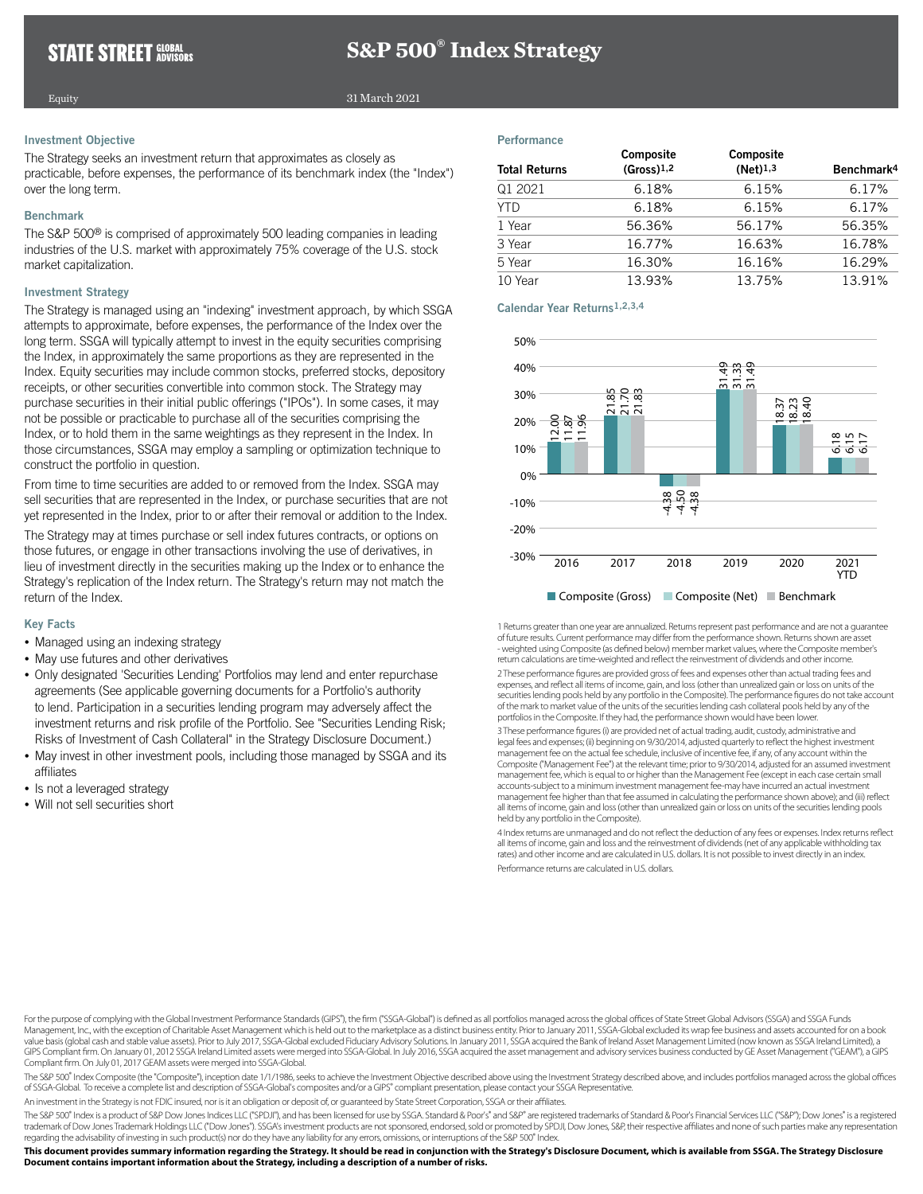# **S&P 500® Index Strategy**

# Equity

#### 31 March 2021

## Investment Objective

The Strategy seeks an investment return that approximates as closely as practicable, before expenses, the performance of its benchmark index (the "Index") over the long term.

## Benchmark

The S&P 500® is comprised of approximately 500 leading companies in leading industries of the U.S. market with approximately 75% coverage of the U.S. stock market capitalization.

## Investment Strategy

The Strategy is managed using an "indexing" investment approach, by which SSGA attempts to approximate, before expenses, the performance of the Index over the long term. SSGA will typically attempt to invest in the equity securities comprising the Index, in approximately the same proportions as they are represented in the Index. Equity securities may include common stocks, preferred stocks, depository receipts, or other securities convertible into common stock. The Strategy may purchase securities in their initial public offerings ("IPOs"). In some cases, it may not be possible or practicable to purchase all of the securities comprising the Index, or to hold them in the same weightings as they represent in the Index. In those circumstances, SSGA may employ a sampling or optimization technique to construct the portfolio in question.

From time to time securities are added to or removed from the Index. SSGA may sell securities that are represented in the Index, or purchase securities that are not yet represented in the Index, prior to or after their removal or addition to the Index.

The Strategy may at times purchase or sell index futures contracts, or options on those futures, or engage in other transactions involving the use of derivatives, in lieu of investment directly in the securities making up the Index or to enhance the Strategy's replication of the Index return. The Strategy's return may not match the return of the Index.

#### Key Facts

- Managed using an indexing strategy
- May use futures and other derivatives
- Only designated 'Securities Lending' Portfolios may lend and enter repurchase agreements (See applicable governing documents for a Portfolio's authority to lend. Participation in a securities lending program may adversely affect the investment returns and risk profile of the Portfolio. See "Securities Lending Risk; Risks of Investment of Cash Collateral" in the Strategy Disclosure Document.)
- May invest in other investment pools, including those managed by SSGA and its affiliates
- Is not a leveraged strategy
- Will not sell securities short

#### **Performance**

| <b>Total Returns</b> | Composite<br>$(Gross)$ <sup>1,2</sup> | Composite<br>$(Net)$ <sup>1,3</sup> | Benchmark <sup>4</sup> |
|----------------------|---------------------------------------|-------------------------------------|------------------------|
| Q1 2021              | 6.18%                                 | 6.15%                               | 6.17%                  |
| <b>YTD</b>           | 6.18%                                 | 6.15%                               | 6.17%                  |
| 1 Year               | 56.36%                                | 56.17%                              | 56.35%                 |
| 3 Year               | 16.77%                                | 16.63%                              | 16.78%                 |
| 5 Year               | 16.30%                                | 16.16%                              | 16.29%                 |
| 10 Year              | 13.93%                                | 13.75%                              | 13.91%                 |

Calendar Year Returns1,2,3,4



1 Returns greater than one year are annualized. Returns represent past performance and are not a guarantee of future results. Current performance may differ from the performance shown. Returns shown are asset - weighted using Composite (as defined below) member market values, where the Composite member's return calculations are time-weighted and reflect the reinvestment of dividends and other income.

2 These performance figures are provided gross of fees and expenses other than actual trading fees and expenses, and reflect all items of income, gain, and loss (other than unrealized gain or loss on units of the securities lending pools held by any portfolio in the Composite). The performance figures do not take account of the mark to market value of the units of the securities lending cash collateral pools held by any of the portfolios in the Composite. If they had, the performance shown would have been lower

3 These performance figures (i) are provided net of actual trading, audit, custody, administrative and legal fees and expenses; (ii) beginning on 9/30/2014, adjusted quarterly to reflect the highest investment<br>management fee on the actual fee schedule, inclusive of incentive fee, if any, of any account within the Composite ("Management Fee") at the relevant time; prior to 9/30/2014, adjusted for an assumed investment management fee, which is equal to or higher than the Management Fee (except in each case certain small accounts-subject to a minimum investment management fee-may have incurred an actual investment management fee higher than that fee assumed in calculating the performance shown above); and (iii) reflect all items of income, gain and loss (other than unrealized gain or loss on units of the securities lending pools held by any portfolio in the Composite).

4 Index returns are unmanaged and do not reflect the deduction of any fees or expenses. Index returns reflect all items of income, gain and loss and the reinvestment of dividends (net of any applicable withholding tax rates) and other income and are calculated in U.S. dollars. It is not possible to invest directly in an index. Performance returns are calculated in U.S. dollars.

For the purpose of complying with the Global Investment Performance Standards (GIPS<sup>\*</sup>), the firm ("SSGA-Global") is defined as all portfolios managed across the global offices of State Street Global Advisors (SSGA) and SS Management, Inc., with the exception of Charitable Asset Management which is held out to the marketplace as a distinct business entity. Prior to January 2011, SSGA-Global excluded its wrap fee business and assets accounted value basis (global cash and stable value assets). Prior to July 2017, SSGA-Global excluded Fiduciary Advisory Solutions. In January 2011, SSGA acquired the Bank of Ireland Asset Management Limited (now known as SSGA Irela GIPS Compliant firm. On January 01, 2012 SSGA lreland Limited assets were merged into SSGA-Global. In July 2016, SSGA acquired the asset management and advisory services business conducted by GE Asset Management ("GEAM"), Compliant firm. On July 01, 2017 GEAM assets were merged into SSGA-Global.

The S&P 500<sup>\*</sup> Index Composite (the "Composite"), inception date 1/1/1986, seeks to achieve the Investment Objective described above using the Investment Strategy described above, and includes portfolios managed across the of SSGA-Global. To receive a complete list and description of SSGA-Global's composites and/or a GIPS® compliant presentation, please contact your SSGA Representative.

An investment in the Strategy is not FDIC insured, nor is it an obligation or deposit of, or guaranteed by State Street Corporation, SSGA or their affiliates.

The S&P 500° Index is a product of S&P Dow Jones Indices LLC ("SPDJI"), and has been licensed for use by SSGA. Standard & Poor's" and S&P" are registered trademarks of Standard & Poor's Financial Services LLC ("S&P"); Dow trademark of Dow Jones Trademark Holdings LLC ("Dow Jones"). SSGA's investment products are not sponsored, endorsed, sold or promoted by SPDJI, Dow Jones, S&P, their respective affiliates and none of such parties make any regarding the advisability of investing in such product(s) nor do they have any liability for any errors, omissions, or interruptions of the S&P 500® Index.

**This document provides summary information regarding the Strategy. It should be read in conjunction with the Strategy's Disclosure Document, which is available from SSGA. The Strategy Disclosure Document contains important information about the Strategy, including a description of a number of risks.**